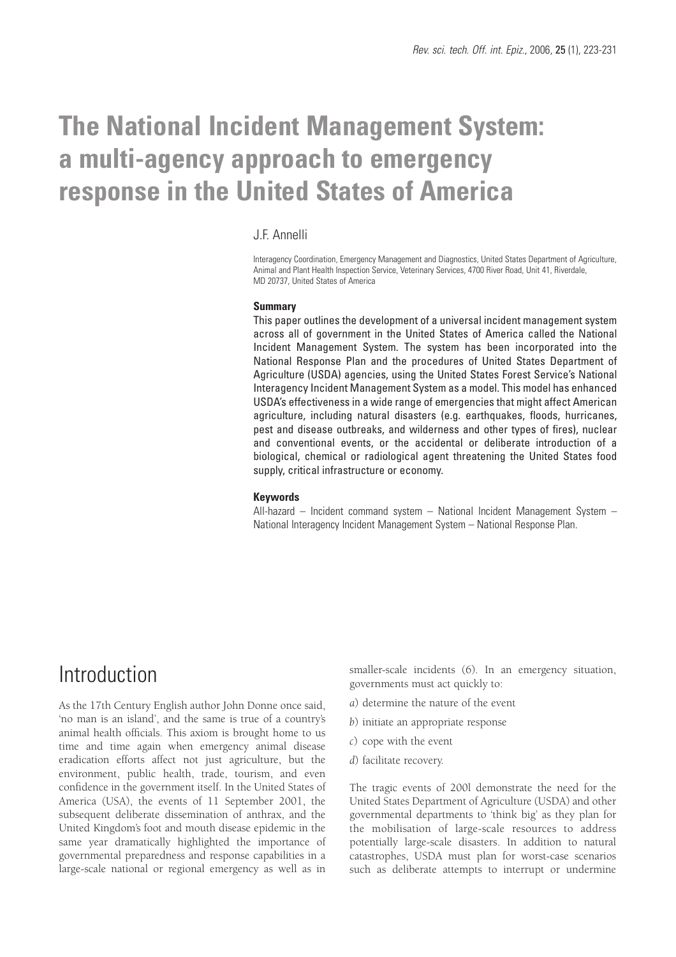# **The National Incident Management System: a multi-agency approach to emergency response in the United States of America**

#### J.F. Annelli

Interagency Coordination, Emergency Management and Diagnostics, United States Department of Agriculture, Animal and Plant Health Inspection Service, Veterinary Services, 4700 River Road, Unit 41, Riverdale, MD 20737, United States of America

#### **Summary**

This paper outlines the development of a universal incident management system across all of government in the United States of America called the National Incident Management System. The system has been incorporated into the National Response Plan and the procedures of United States Department of Agriculture (USDA) agencies, using the United States Forest Service's National Interagency Incident Management System as a model. This model has enhanced USDA's effectiveness in a wide range of emergencies that might affect American agriculture, including natural disasters (e.g. earthquakes, floods, hurricanes, pest and disease outbreaks, and wilderness and other types of fires), nuclear and conventional events, or the accidental or deliberate introduction of a biological, chemical or radiological agent threatening the United States food supply, critical infrastructure or economy.

#### **Keywords**

All-hazard – Incident command system – National Incident Management System – National Interagency Incident Management System – National Response Plan.

## Introduction

As the 17th Century English author John Donne once said, 'no man is an island', and the same is true of a country's animal health officials. This axiom is brought home to us time and time again when emergency animal disease eradication efforts affect not just agriculture, but the environment, public health, trade, tourism, and even confidence in the government itself. In the United States of America (USA), the events of 11 September 2001, the subsequent deliberate dissemination of anthrax, and the United Kingdom's foot and mouth disease epidemic in the same year dramatically highlighted the importance of governmental preparedness and response capabilities in a large-scale national or regional emergency as well as in

smaller-scale incidents (6). In an emergency situation, governments must act quickly to:

- *a*) determine the nature of the event
- *b*) initiate an appropriate response
- *c*) cope with the event
- *d*) facilitate recovery.

The tragic events of 200l demonstrate the need for the United States Department of Agriculture (USDA) and other governmental departments to 'think big' as they plan for the mobilisation of large-scale resources to address potentially large-scale disasters. In addition to natural catastrophes, USDA must plan for worst-case scenarios such as deliberate attempts to interrupt or undermine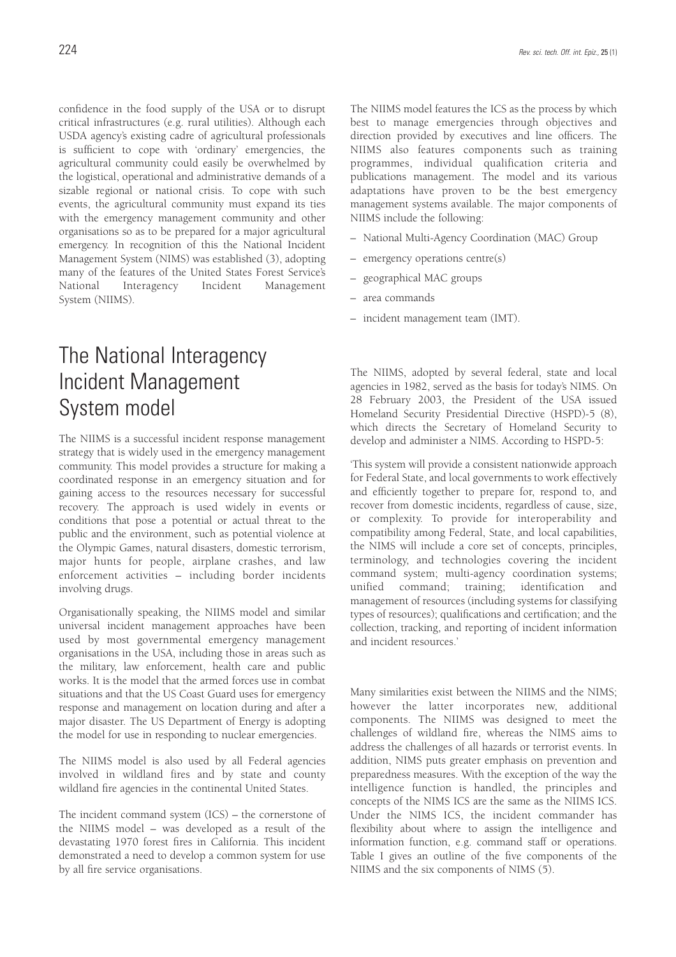confidence in the food supply of the USA or to disrupt critical infrastructures (e.g. rural utilities). Although each USDA agency's existing cadre of agricultural professionals is sufficient to cope with 'ordinary' emergencies, the agricultural community could easily be overwhelmed by the logistical, operational and administrative demands of a sizable regional or national crisis. To cope with such events, the agricultural community must expand its ties with the emergency management community and other organisations so as to be prepared for a major agricultural emergency. In recognition of this the National Incident Management System (NIMS) was established (3), adopting many of the features of the United States Forest Service's National Interagency Incident Management System (NIIMS).

## The National Interagency Incident Management System model

The NIIMS is a successful incident response management strategy that is widely used in the emergency management community. This model provides a structure for making a coordinated response in an emergency situation and for gaining access to the resources necessary for successful recovery. The approach is used widely in events or conditions that pose a potential or actual threat to the public and the environment, such as potential violence at the Olympic Games, natural disasters, domestic terrorism, major hunts for people, airplane crashes, and law enforcement activities – including border incidents involving drugs.

Organisationally speaking, the NIIMS model and similar universal incident management approaches have been used by most governmental emergency management organisations in the USA, including those in areas such as the military, law enforcement, health care and public works. It is the model that the armed forces use in combat situations and that the US Coast Guard uses for emergency response and management on location during and after a major disaster. The US Department of Energy is adopting the model for use in responding to nuclear emergencies.

The NIIMS model is also used by all Federal agencies involved in wildland fires and by state and county wildland fire agencies in the continental United States.

The incident command system (ICS) – the cornerstone of the NIIMS model – was developed as a result of the devastating 1970 forest fires in California. This incident demonstrated a need to develop a common system for use by all fire service organisations.

The NIIMS model features the ICS as the process by which best to manage emergencies through objectives and direction provided by executives and line officers. The NIIMS also features components such as training programmes, individual qualification criteria and publications management. The model and its various adaptations have proven to be the best emergency management systems available. The major components of NIIMS include the following:

- National Multi-Agency Coordination (MAC) Group
- emergency operations centre(s)
- geographical MAC groups
- area commands
- incident management team (IMT).

The NIIMS, adopted by several federal, state and local agencies in 1982, served as the basis for today's NIMS. On 28 February 2003, the President of the USA issued Homeland Security Presidential Directive (HSPD)-5 (8), which directs the Secretary of Homeland Security to develop and administer a NIMS. According to HSPD-5:

'This system will provide a consistent nationwide approach for Federal State, and local governments to work effectively and efficiently together to prepare for, respond to, and recover from domestic incidents, regardless of cause, size, or complexity. To provide for interoperability and compatibility among Federal, State, and local capabilities, the NIMS will include a core set of concepts, principles, terminology, and technologies covering the incident command system; multi-agency coordination systems; unified command; training; identification and management of resources (including systems for classifying types of resources); qualifications and certification; and the collection, tracking, and reporting of incident information and incident resources.'

Many similarities exist between the NIIMS and the NIMS; however the latter incorporates new, additional components. The NIIMS was designed to meet the challenges of wildland fire, whereas the NIMS aims to address the challenges of all hazards or terrorist events. In addition, NIMS puts greater emphasis on prevention and preparedness measures. With the exception of the way the intelligence function is handled, the principles and concepts of the NIMS ICS are the same as the NIIMS ICS. Under the NIMS ICS, the incident commander has flexibility about where to assign the intelligence and information function, e.g. command staff or operations. Table I gives an outline of the five components of the NIIMS and the six components of NIMS (5).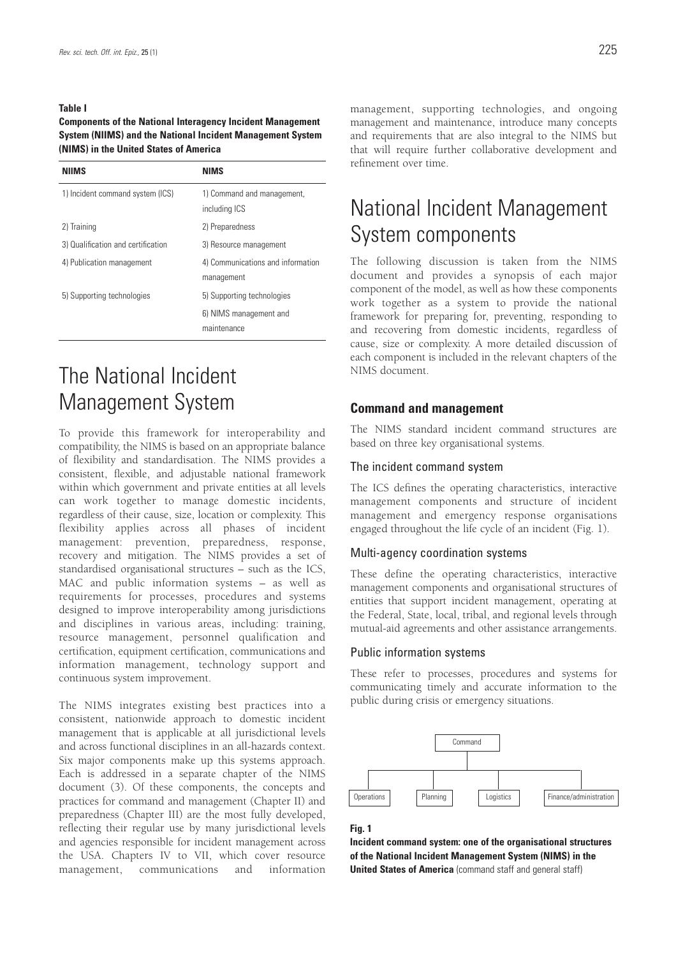#### **Table I**

**Components of the National Interagency Incident Management System (NIIMS) and the National Incident Management System (NIMS) in the United States of America**

| <b>NIIMS</b>                       | NIMS                                            |
|------------------------------------|-------------------------------------------------|
| 1) Incident command system (ICS)   | 1) Command and management,<br>including ICS     |
| 2) Training                        | 2) Preparedness                                 |
| 3) Qualification and certification | 3) Resource management                          |
| 4) Publication management          | 4) Communications and information<br>management |
| 5) Supporting technologies         | 5) Supporting technologies                      |
|                                    | 6) NIMS management and<br>maintenance           |

## The National Incident Management System

To provide this framework for interoperability and compatibility, the NIMS is based on an appropriate balance of flexibility and standardisation. The NIMS provides a consistent, flexible, and adjustable national framework within which government and private entities at all levels can work together to manage domestic incidents, regardless of their cause, size, location or complexity. This flexibility applies across all phases of incident management: prevention, preparedness, response, recovery and mitigation. The NIMS provides a set of standardised organisational structures – such as the ICS, MAC and public information systems – as well as requirements for processes, procedures and systems designed to improve interoperability among jurisdictions and disciplines in various areas, including: training, resource management, personnel qualification and certification, equipment certification, communications and information management, technology support and continuous system improvement.

The NIMS integrates existing best practices into a consistent, nationwide approach to domestic incident management that is applicable at all jurisdictional levels and across functional disciplines in an all-hazards context. Six major components make up this systems approach. Each is addressed in a separate chapter of the NIMS document (3). Of these components, the concepts and practices for command and management (Chapter II) and preparedness (Chapter III) are the most fully developed, reflecting their regular use by many jurisdictional levels and agencies responsible for incident management across the USA. Chapters IV to VII, which cover resource management, communications and information

management, supporting technologies, and ongoing management and maintenance, introduce many concepts and requirements that are also integral to the NIMS but that will require further collaborative development and refinement over time.

## National Incident Management System components

The following discussion is taken from the NIMS document and provides a synopsis of each major component of the model, as well as how these components work together as a system to provide the national framework for preparing for, preventing, responding to and recovering from domestic incidents, regardless of cause, size or complexity. A more detailed discussion of each component is included in the relevant chapters of the NIMS document.

#### **Command and management**

The NIMS standard incident command structures are based on three key organisational systems.

#### The incident command system

The ICS defines the operating characteristics, interactive management components and structure of incident management and emergency response organisations engaged throughout the life cycle of an incident (Fig. 1).

#### Multi-agency coordination systems

These define the operating characteristics, interactive management components and organisational structures of entities that support incident management, operating at the Federal, State, local, tribal, and regional levels through mutual-aid agreements and other assistance arrangements.

#### Public information systems

These refer to processes, procedures and systems for communicating timely and accurate information to the public during crisis or emergency situations.



#### **Fig. 1**

**Incident command system: one of the organisational structures of the National Incident Management System (NIMS) in the United States of America** (command staff and general staff)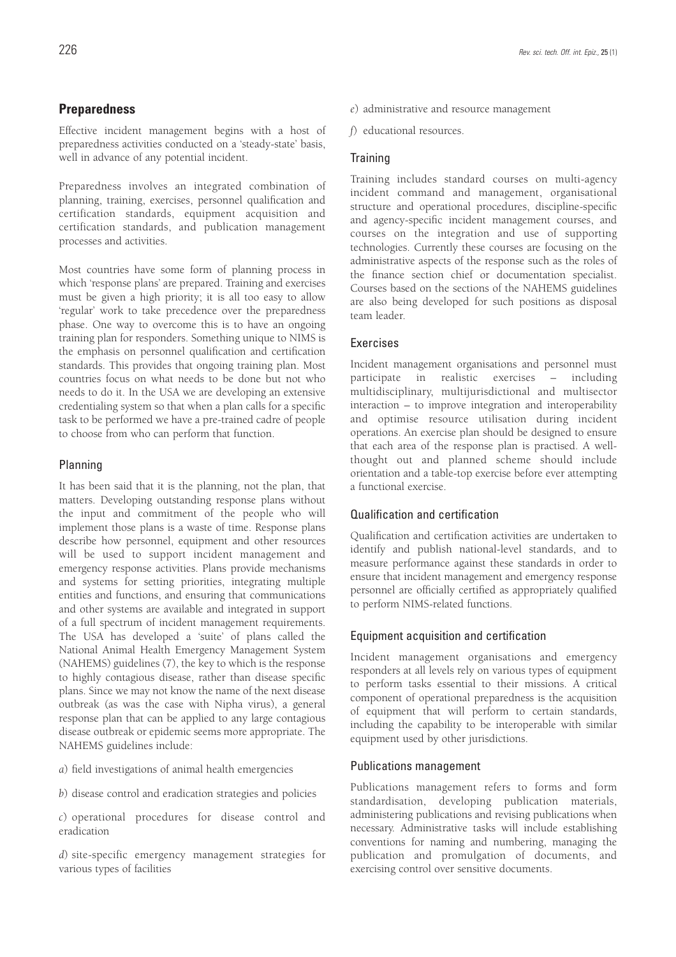#### **Preparedness**

Effective incident management begins with a host of preparedness activities conducted on a 'steady-state' basis, well in advance of any potential incident.

Preparedness involves an integrated combination of planning, training, exercises, personnel qualification and certification standards, equipment acquisition and certification standards, and publication management processes and activities.

Most countries have some form of planning process in which 'response plans' are prepared. Training and exercises must be given a high priority; it is all too easy to allow 'regular' work to take precedence over the preparedness phase. One way to overcome this is to have an ongoing training plan for responders. Something unique to NIMS is the emphasis on personnel qualification and certification standards. This provides that ongoing training plan. Most countries focus on what needs to be done but not who needs to do it. In the USA we are developing an extensive credentialing system so that when a plan calls for a specific task to be performed we have a pre-trained cadre of people to choose from who can perform that function.

#### Planning

It has been said that it is the planning, not the plan, that matters. Developing outstanding response plans without the input and commitment of the people who will implement those plans is a waste of time. Response plans describe how personnel, equipment and other resources will be used to support incident management and emergency response activities. Plans provide mechanisms and systems for setting priorities, integrating multiple entities and functions, and ensuring that communications and other systems are available and integrated in support of a full spectrum of incident management requirements. The USA has developed a 'suite' of plans called the National Animal Health Emergency Management System (NAHEMS) guidelines (7), the key to which is the response to highly contagious disease, rather than disease specific plans. Since we may not know the name of the next disease outbreak (as was the case with Nipha virus), a general response plan that can be applied to any large contagious disease outbreak or epidemic seems more appropriate. The NAHEMS guidelines include:

*a*) field investigations of animal health emergencies

*b*) disease control and eradication strategies and policies

*c*) operational procedures for disease control and eradication

*d*) site-specific emergency management strategies for various types of facilities

*f*) educational resources.

#### **Training**

Training includes standard courses on multi-agency incident command and management, organisational structure and operational procedures, discipline-specific and agency-specific incident management courses, and courses on the integration and use of supporting technologies. Currently these courses are focusing on the administrative aspects of the response such as the roles of the finance section chief or documentation specialist. Courses based on the sections of the NAHEMS guidelines are also being developed for such positions as disposal team leader.

#### Exercises

Incident management organisations and personnel must participate in realistic exercises – including multidisciplinary, multijurisdictional and multisector interaction – to improve integration and interoperability and optimise resource utilisation during incident operations. An exercise plan should be designed to ensure that each area of the response plan is practised. A wellthought out and planned scheme should include orientation and a table-top exercise before ever attempting a functional exercise.

#### Qualification and certification

Qualification and certification activities are undertaken to identify and publish national-level standards, and to measure performance against these standards in order to ensure that incident management and emergency response personnel are officially certified as appropriately qualified to perform NIMS-related functions.

#### Equipment acquisition and certification

Incident management organisations and emergency responders at all levels rely on various types of equipment to perform tasks essential to their missions. A critical component of operational preparedness is the acquisition of equipment that will perform to certain standards, including the capability to be interoperable with similar equipment used by other jurisdictions.

#### Publications management

Publications management refers to forms and form standardisation, developing publication materials, administering publications and revising publications when necessary. Administrative tasks will include establishing conventions for naming and numbering, managing the publication and promulgation of documents, and exercising control over sensitive documents.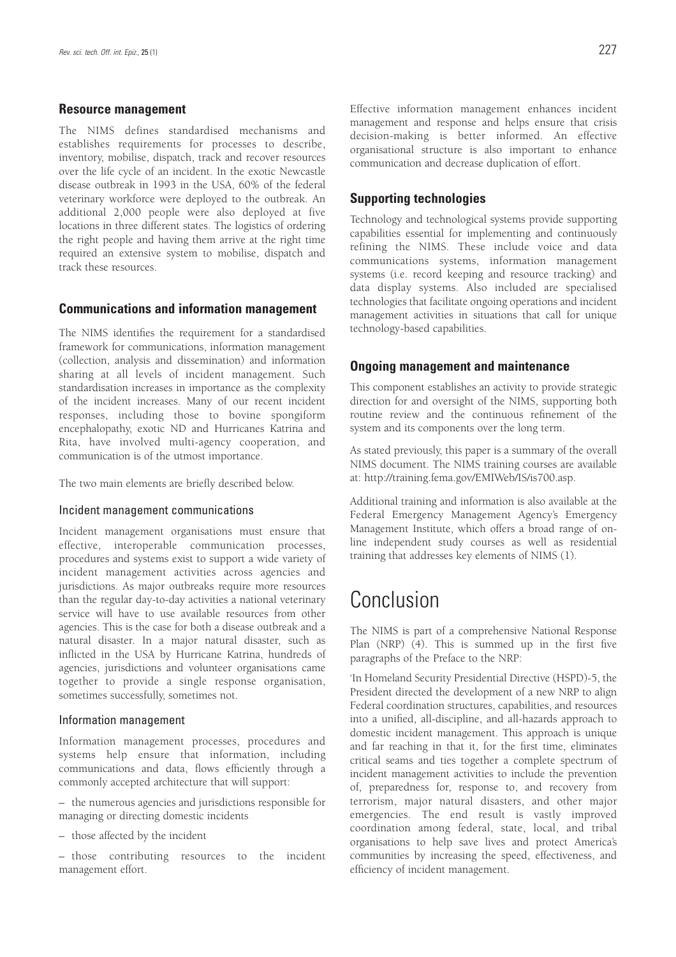#### **Resource management**

The NIMS defines standardised mechanisms and establishes requirements for processes to describe, inventory, mobilise, dispatch, track and recover resources over the life cycle of an incident. In the exotic Newcastle disease outbreak in 1993 in the USA, 60% of the federal veterinary workforce were deployed to the outbreak. An additional 2,000 people were also deployed at five locations in three different states. The logistics of ordering the right people and having them arrive at the right time required an extensive system to mobilise, dispatch and track these resources.

#### **Communications and information management**

The NIMS identifies the requirement for a standardised framework for communications, information management (collection, analysis and dissemination) and information sharing at all levels of incident management. Such standardisation increases in importance as the complexity of the incident increases. Many of our recent incident responses, including those to bovine spongiform encephalopathy, exotic ND and Hurricanes Katrina and Rita, have involved multi-agency cooperation, and communication is of the utmost importance.

The two main elements are briefly described below.

#### Incident management communications

Incident management organisations must ensure that effective, interoperable communication processes, procedures and systems exist to support a wide variety of incident management activities across agencies and jurisdictions. As major outbreaks require more resources than the regular day-to-day activities a national veterinary service will have to use available resources from other agencies. This is the case for both a disease outbreak and a natural disaster. In a major natural disaster, such as inflicted in the USA by Hurricane Katrina, hundreds of agencies, jurisdictions and volunteer organisations came together to provide a single response organisation, sometimes successfully, sometimes not.

#### Information management

Information management processes, procedures and systems help ensure that information, including communications and data, flows efficiently through a commonly accepted architecture that will support:

– the numerous agencies and jurisdictions responsible for managing or directing domestic incidents

– those affected by the incident

– those contributing resources to the incident management effort.

Effective information management enhances incident management and response and helps ensure that crisis decision-making is better informed. An effective organisational structure is also important to enhance communication and decrease duplication of effort.

#### **Supporting technologies**

Technology and technological systems provide supporting capabilities essential for implementing and continuously refining the NIMS. These include voice and data communications systems, information management systems (i.e. record keeping and resource tracking) and data display systems. Also included are specialised technologies that facilitate ongoing operations and incident management activities in situations that call for unique technology-based capabilities.

#### **Ongoing management and maintenance**

This component establishes an activity to provide strategic direction for and oversight of the NIMS, supporting both routine review and the continuous refinement of the system and its components over the long term.

As stated previously, this paper is a summary of the overall NIMS document. The NIMS training courses are available at: http://training.fema.gov/EMIWeb/IS/is700.asp.

Additional training and information is also available at the Federal Emergency Management Agency's Emergency Management Institute, which offers a broad range of online independent study courses as well as residential training that addresses key elements of NIMS (1).

## Conclusion

The NIMS is part of a comprehensive National Response Plan (NRP) (4). This is summed up in the first five paragraphs of the Preface to the NRP:

'In Homeland Security Presidential Directive (HSPD)-5, the President directed the development of a new NRP to align Federal coordination structures, capabilities, and resources into a unified, all-discipline, and all-hazards approach to domestic incident management. This approach is unique and far reaching in that it, for the first time, eliminates critical seams and ties together a complete spectrum of incident management activities to include the prevention of, preparedness for, response to, and recovery from terrorism, major natural disasters, and other major emergencies. The end result is vastly improved coordination among federal, state, local, and tribal organisations to help save lives and protect America's communities by increasing the speed, effectiveness, and efficiency of incident management.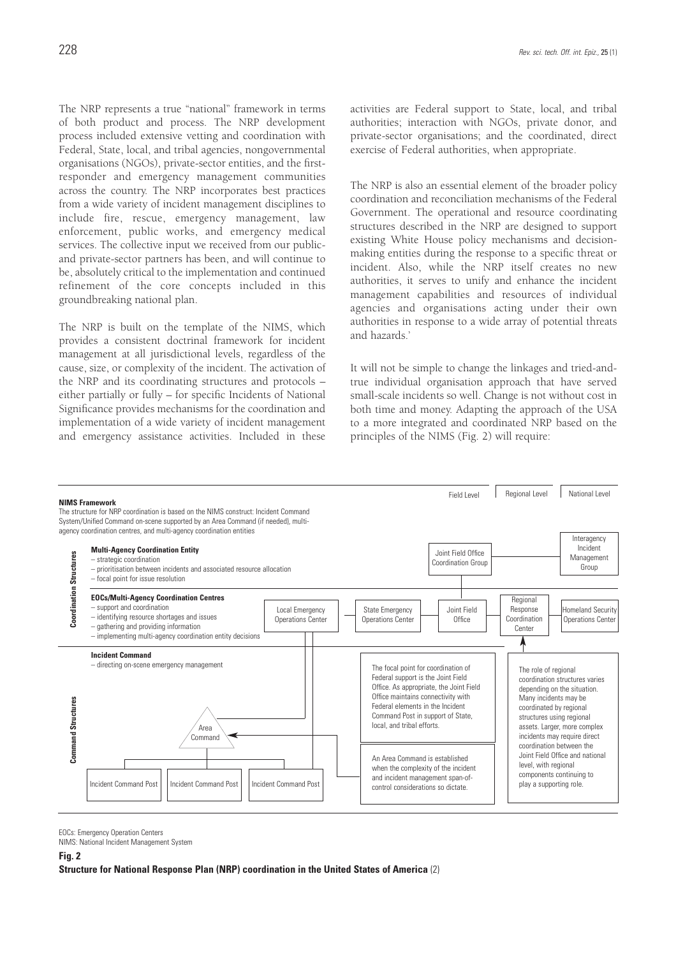The NRP represents a true "national" framework in terms of both product and process. The NRP development process included extensive vetting and coordination with Federal, State, local, and tribal agencies, nongovernmental organisations (NGOs), private-sector entities, and the firstresponder and emergency management communities across the country. The NRP incorporates best practices from a wide variety of incident management disciplines to include fire, rescue, emergency management, law enforcement, public works, and emergency medical services. The collective input we received from our publicand private-sector partners has been, and will continue to be, absolutely critical to the implementation and continued refinement of the core concepts included in this groundbreaking national plan.

The NRP is built on the template of the NIMS, which provides a consistent doctrinal framework for incident management at all jurisdictional levels, regardless of the cause, size, or complexity of the incident. The activation of the NRP and its coordinating structures and protocols – either partially or fully – for specific Incidents of National Significance provides mechanisms for the coordination and implementation of a wide variety of incident management and emergency assistance activities. Included in these activities are Federal support to State, local, and tribal authorities; interaction with NGOs, private donor, and private-sector organisations; and the coordinated, direct exercise of Federal authorities, when appropriate.

The NRP is also an essential element of the broader policy coordination and reconciliation mechanisms of the Federal Government. The operational and resource coordinating structures described in the NRP are designed to support existing White House policy mechanisms and decisionmaking entities during the response to a specific threat or incident. Also, while the NRP itself creates no new authorities, it serves to unify and enhance the incident management capabilities and resources of individual agencies and organisations acting under their own authorities in response to a wide array of potential threats and hazards.'

It will not be simple to change the linkages and tried-andtrue individual organisation approach that have served small-scale incidents so well. Change is not without cost in both time and money. Adapting the approach of the USA to a more integrated and coordinated NRP based on the principles of the NIMS (Fig. 2) will require:



EOCs: Emergency Operation Centers

NIMS: National Incident Management System

**Fig. 2**

**Structure for National Response Plan (NRP) coordination in the United States of America** (2)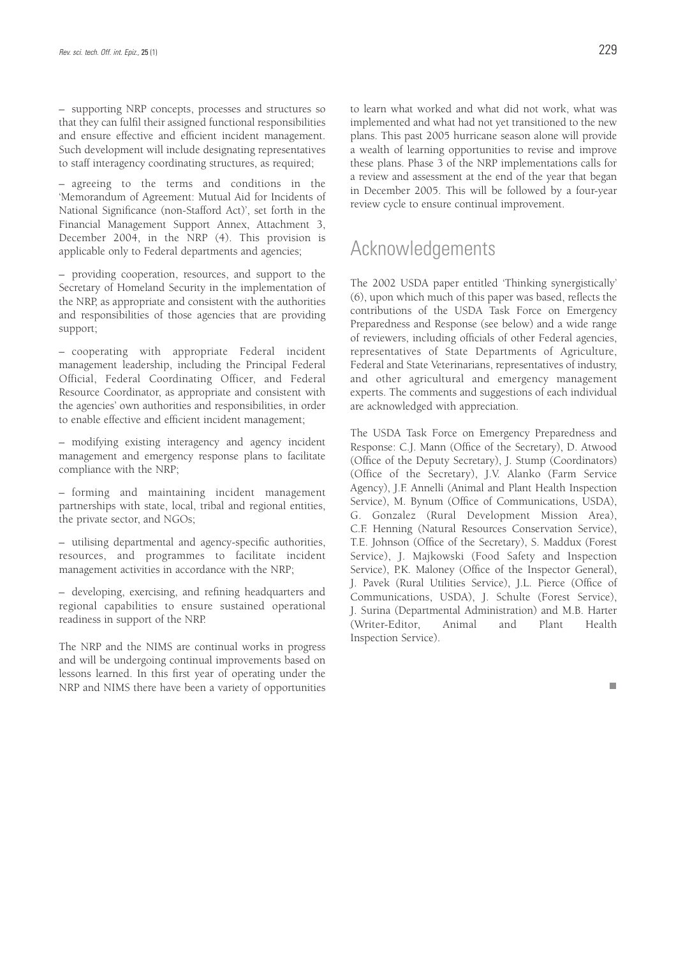– supporting NRP concepts, processes and structures so that they can fulfil their assigned functional responsibilities and ensure effective and efficient incident management. Such development will include designating representatives to staff interagency coordinating structures, as required;

– agreeing to the terms and conditions in the 'Memorandum of Agreement: Mutual Aid for Incidents of National Significance (non-Stafford Act)', set forth in the Financial Management Support Annex, Attachment 3, December 2004, in the NRP (4). This provision is applicable only to Federal departments and agencies;

– providing cooperation, resources, and support to the Secretary of Homeland Security in the implementation of the NRP, as appropriate and consistent with the authorities and responsibilities of those agencies that are providing support;

– cooperating with appropriate Federal incident management leadership, including the Principal Federal Official, Federal Coordinating Officer, and Federal Resource Coordinator, as appropriate and consistent with the agencies' own authorities and responsibilities, in order to enable effective and efficient incident management;

– modifying existing interagency and agency incident management and emergency response plans to facilitate compliance with the NRP;

– forming and maintaining incident management partnerships with state, local, tribal and regional entities, the private sector, and NGOs;

– utilising departmental and agency-specific authorities, resources, and programmes to facilitate incident management activities in accordance with the NRP;

– developing, exercising, and refining headquarters and regional capabilities to ensure sustained operational readiness in support of the NRP.

The NRP and the NIMS are continual works in progress and will be undergoing continual improvements based on lessons learned. In this first year of operating under the NRP and NIMS there have been a variety of opportunities to learn what worked and what did not work, what was implemented and what had not yet transitioned to the new plans. This past 2005 hurricane season alone will provide a wealth of learning opportunities to revise and improve these plans. Phase 3 of the NRP implementations calls for a review and assessment at the end of the year that began in December 2005. This will be followed by a four-year review cycle to ensure continual improvement.

### Acknowledgements

The 2002 USDA paper entitled 'Thinking synergistically' (6), upon which much of this paper was based, reflects the contributions of the USDA Task Force on Emergency Preparedness and Response (see below) and a wide range of reviewers, including officials of other Federal agencies, representatives of State Departments of Agriculture, Federal and State Veterinarians, representatives of industry, and other agricultural and emergency management experts. The comments and suggestions of each individual are acknowledged with appreciation.

The USDA Task Force on Emergency Preparedness and Response: C.J. Mann (Office of the Secretary), D. Atwood (Office of the Deputy Secretary), J. Stump (Coordinators) (Office of the Secretary), J.V. Alanko (Farm Service Agency), J.F. Annelli (Animal and Plant Health Inspection Service), M. Bynum (Office of Communications, USDA), G. Gonzalez (Rural Development Mission Area), C.F. Henning (Natural Resources Conservation Service), T.E. Johnson (Office of the Secretary), S. Maddux (Forest Service), J. Majkowski (Food Safety and Inspection Service), P.K. Maloney (Office of the Inspector General), J. Pavek (Rural Utilities Service), J.L. Pierce (Office of Communications, USDA), J. Schulte (Forest Service), J. Surina (Departmental Administration) and M.B. Harter (Writer-Editor, Animal and Plant Health Inspection Service).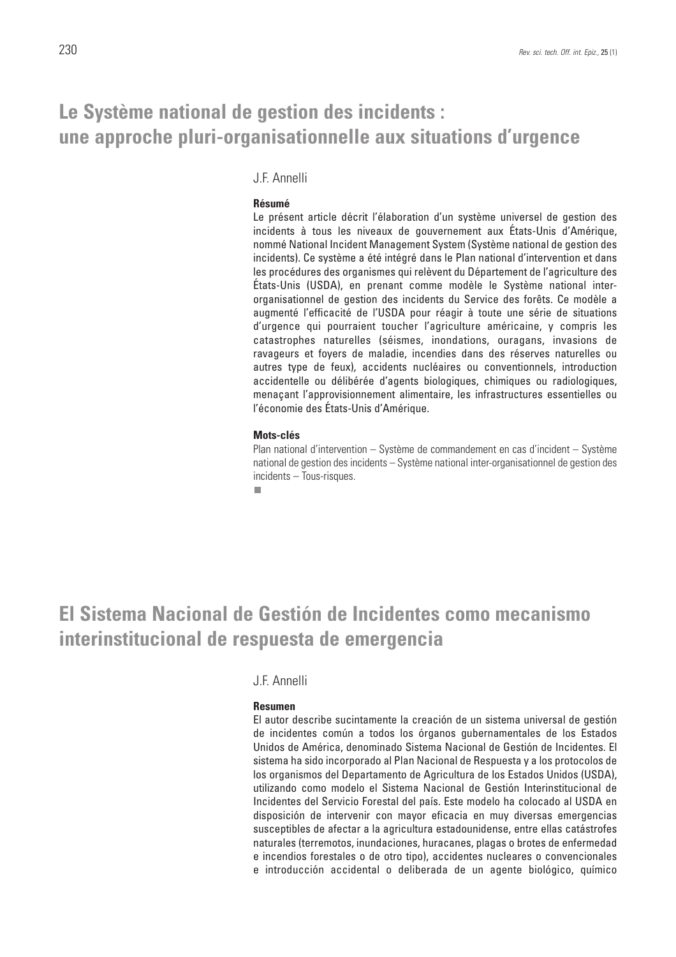### **Le Système national de gestion des incidents : une approche pluri-organisationnelle aux situations d'urgence**

J.F. Annelli

#### **Résumé**

Le présent article décrit l'élaboration d'un système universel de gestion des incidents à tous les niveaux de gouvernement aux États-Unis d'Amérique, nommé National Incident Management System (Système national de gestion des incidents). Ce système a été intégré dans le Plan national d'intervention et dans les procédures des organismes qui relèvent du Département de l'agriculture des États-Unis (USDA), en prenant comme modèle le Système national interorganisationnel de gestion des incidents du Service des forêts. Ce modèle a augmenté l'efficacité de l'USDA pour réagir à toute une série de situations d'urgence qui pourraient toucher l'agriculture américaine, y compris les catastrophes naturelles (séismes, inondations, ouragans, invasions de ravageurs et foyers de maladie, incendies dans des réserves naturelles ou autres type de feux), accidents nucléaires ou conventionnels, introduction accidentelle ou délibérée d'agents biologiques, chimiques ou radiologiques, menaçant l'approvisionnement alimentaire, les infrastructures essentielles ou l'économie des États-Unis d'Amérique.

#### **Mots-clés**

Plan national d'intervention – Système de commandement en cas d'incident – Système national de gestion des incidents – Système national inter-organisationnel de gestion des incidents – Tous-risques.

п

## **El Sistema Nacional de Gestión de Incidentes como mecanismo interinstitucional de respuesta de emergencia**

#### J.F. Annelli

#### **Resumen**

El autor describe sucintamente la creación de un sistema universal de gestión de incidentes común a todos los órganos gubernamentales de los Estados Unidos de América, denominado Sistema Nacional de Gestión de Incidentes. El sistema ha sido incorporado al Plan Nacional de Respuesta y a los protocolos de los organismos del Departamento de Agricultura de los Estados Unidos (USDA), utilizando como modelo el Sistema Nacional de Gestión Interinstitucional de Incidentes del Servicio Forestal del país. Este modelo ha colocado al USDA en disposición de intervenir con mayor eficacia en muy diversas emergencias susceptibles de afectar a la agricultura estadounidense, entre ellas catástrofes naturales (terremotos, inundaciones, huracanes, plagas o brotes de enfermedad e incendios forestales o de otro tipo), accidentes nucleares o convencionales e introducción accidental o deliberada de un agente biológico, químico